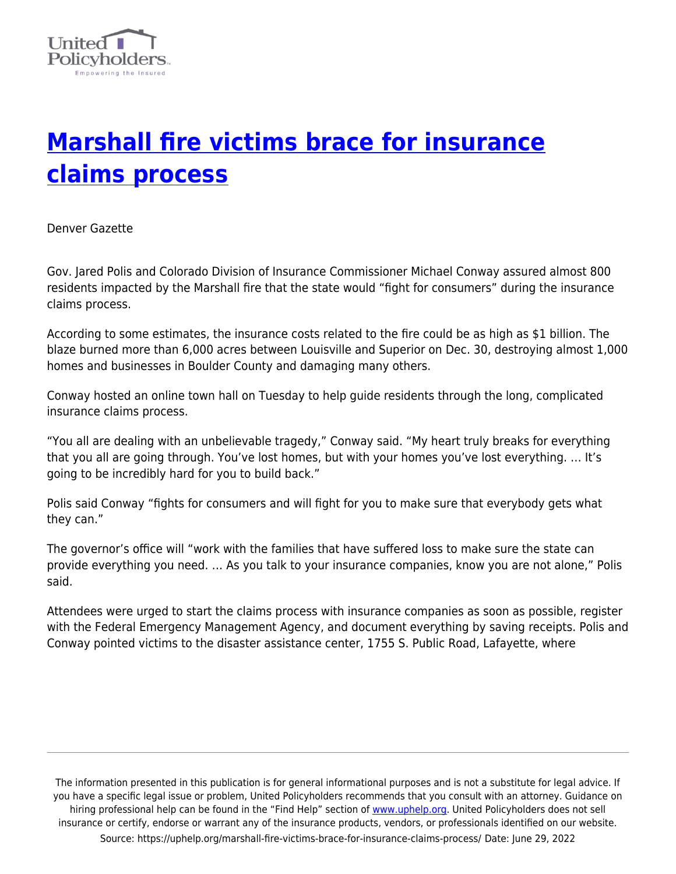

## **[Marshall fire victims brace for insurance](https://uphelp.org/marshall-fire-victims-brace-for-insurance-claims-process/) [claims process](https://uphelp.org/marshall-fire-victims-brace-for-insurance-claims-process/)**

Denver Gazette

Gov. Jared Polis and Colorado Division of Insurance Commissioner Michael Conway assured almost 800 residents impacted by the Marshall fire that the state would "fight for consumers" during the insurance claims process.

According to some estimates, the insurance costs related to the fire could be as high as \$1 billion. The blaze burned more than 6,000 acres between Louisville and Superior on Dec. 30, destroying almost 1,000 homes and businesses in Boulder County and damaging many others.

Conway hosted an online town hall on Tuesday to help guide residents through the long, complicated insurance claims process.

"You all are dealing with an unbelievable tragedy," Conway said. "My heart truly breaks for everything that you all are going through. You've lost homes, but with your homes you've lost everything. … It's going to be incredibly hard for you to build back."

Polis said Conway "fights for consumers and will fight for you to make sure that everybody gets what they can."

The governor's office will "work with the families that have suffered loss to make sure the state can provide everything you need. … As you talk to your insurance companies, know you are not alone," Polis said.

Attendees were urged to start the claims process with insurance companies as soon as possible, register with the Federal Emergency Management Agency, and document everything by saving receipts. Polis and Conway pointed victims to the disaster assistance center, 1755 S. Public Road, Lafayette, where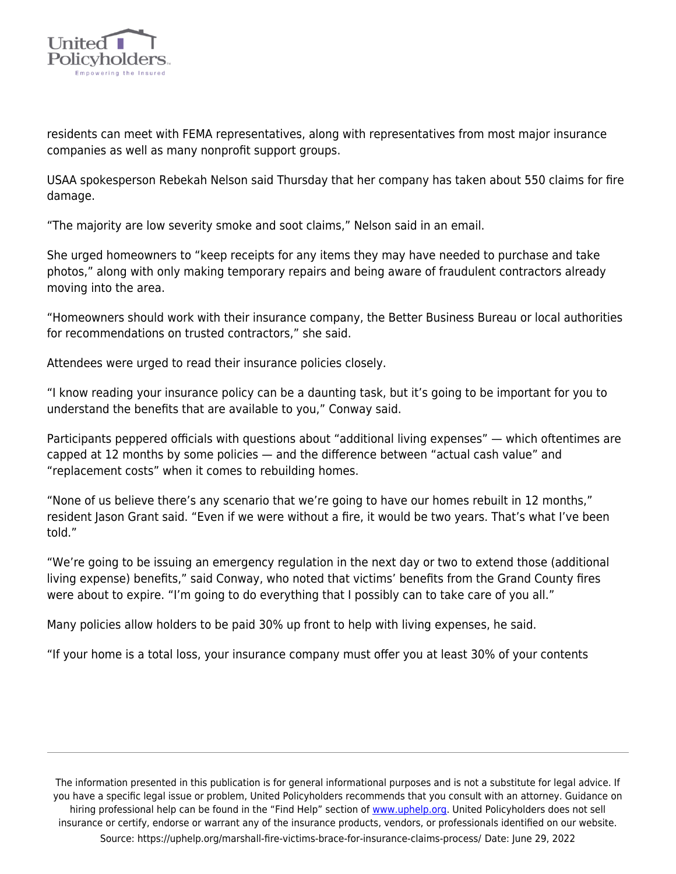

residents can meet with FEMA representatives, along with representatives from most major insurance companies as well as many nonprofit support groups.

USAA spokesperson Rebekah Nelson said Thursday that her company has taken about 550 claims for fire damage.

"The majority are low severity smoke and soot claims," Nelson said in an email.

She urged homeowners to "keep receipts for any items they may have needed to purchase and take photos," along with only making temporary repairs and being aware of fraudulent contractors already moving into the area.

"Homeowners should work with their insurance company, the Better Business Bureau or local authorities for recommendations on trusted contractors," she said.

Attendees were urged to read their insurance policies closely.

"I know reading your insurance policy can be a daunting task, but it's going to be important for you to understand the benefits that are available to you," Conway said.

Participants peppered officials with questions about "additional living expenses" — which oftentimes are capped at 12 months by some policies — and the difference between "actual cash value" and "replacement costs" when it comes to rebuilding homes.

"None of us believe there's any scenario that we're going to have our homes rebuilt in 12 months," resident Jason Grant said. "Even if we were without a fire, it would be two years. That's what I've been told."

"We're going to be issuing an emergency regulation in the next day or two to extend those (additional living expense) benefits," said Conway, who noted that victims' benefits from the Grand County fires were about to expire. "I'm going to do everything that I possibly can to take care of you all."

Many policies allow holders to be paid 30% up front to help with living expenses, he said.

"If your home is a total loss, your insurance company must offer you at least 30% of your contents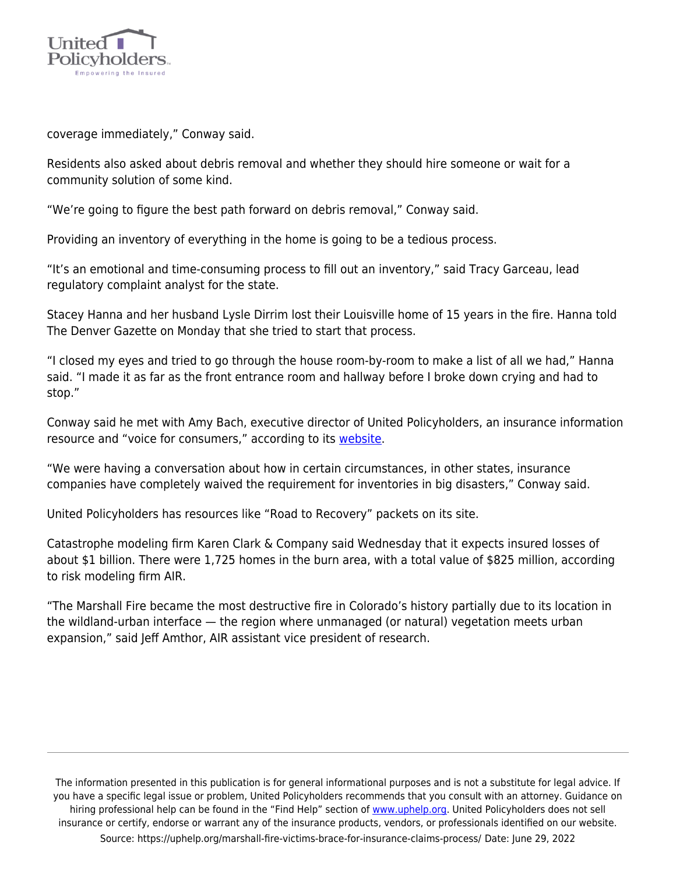

coverage immediately," Conway said.

Residents also asked about debris removal and whether they should hire someone or wait for a community solution of some kind.

"We're going to figure the best path forward on debris removal," Conway said.

Providing an inventory of everything in the home is going to be a tedious process.

"It's an emotional and time-consuming process to fill out an inventory," said Tracy Garceau, lead regulatory complaint analyst for the state.

Stacey Hanna and her husband Lysle Dirrim lost their Louisville home of 15 years in the fire. Hanna told The Denver Gazette on Monday that she tried to start that process.

"I closed my eyes and tried to go through the house room-by-room to make a list of all we had," Hanna said. "I made it as far as the front entrance room and hallway before I broke down crying and had to stop."

Conway said he met with Amy Bach, executive director of United Policyholders, an insurance information resource and "voice for consumers," according to its [website.](http://uphelp.org/)

"We were having a conversation about how in certain circumstances, in other states, insurance companies have completely waived the requirement for inventories in big disasters," Conway said.

United Policyholders has resources like "Road to Recovery" packets on its site.

Catastrophe modeling firm Karen Clark & Company said Wednesday that it expects insured losses of about \$1 billion. There were 1,725 homes in the burn area, with a total value of \$825 million, according to risk modeling firm AIR.

"The Marshall Fire became the most destructive fire in Colorado's history partially due to its location in the wildland-urban interface — the region where unmanaged (or natural) vegetation meets urban expansion," said Jeff Amthor, AIR assistant vice president of research.